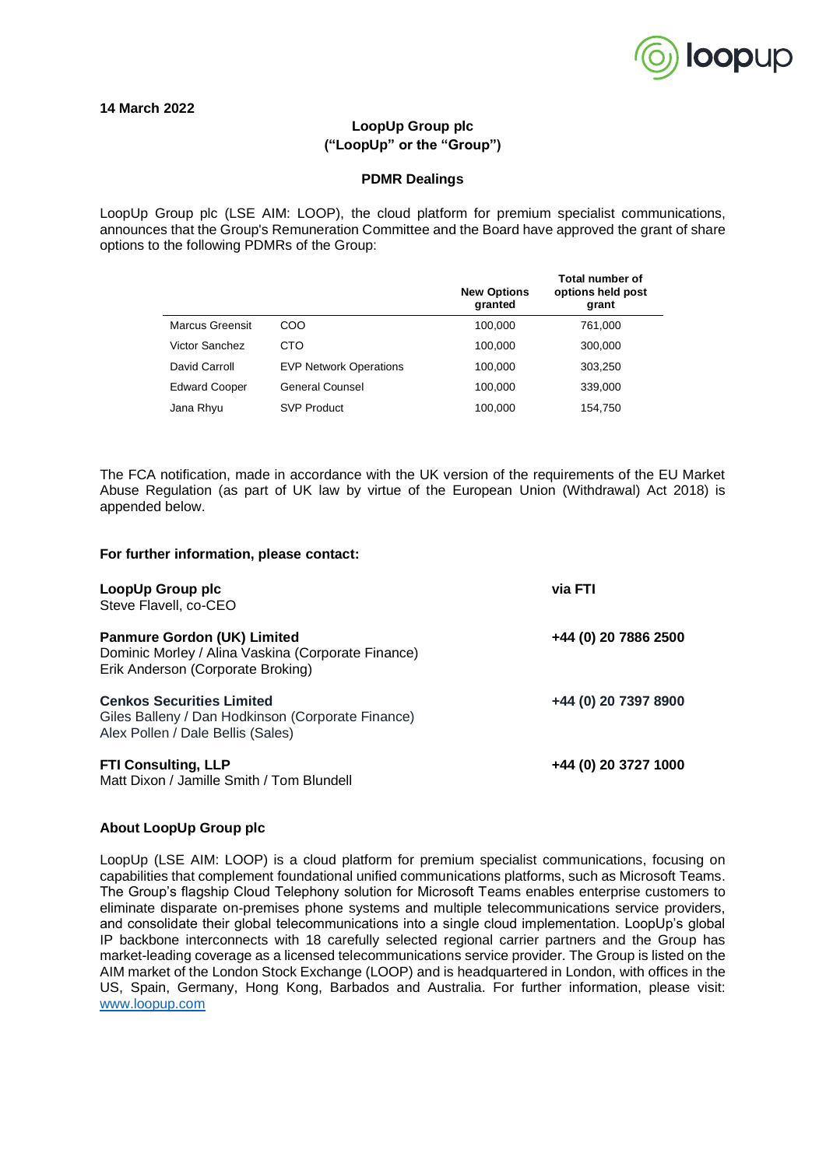

## **LoopUp Group plc ("LoopUp" or the "Group")**

## **PDMR Dealings**

LoopUp Group plc (LSE AIM: LOOP), the cloud platform for premium specialist communications, announces that the Group's Remuneration Committee and the Board have approved the grant of share options to the following PDMRs of the Group:

|                      |                               | <b>New Options</b><br>granted | <b>Total number of</b><br>options held post<br>grant |
|----------------------|-------------------------------|-------------------------------|------------------------------------------------------|
| Marcus Greensit      | COO                           | 100.000                       | 761.000                                              |
| Victor Sanchez       | CTO                           | 100.000                       | 300.000                                              |
| David Carroll        | <b>EVP Network Operations</b> | 100,000                       | 303,250                                              |
| <b>Edward Cooper</b> | General Counsel               | 100.000                       | 339,000                                              |
| Jana Rhyu            | <b>SVP Product</b>            | 100,000                       | 154,750                                              |

The FCA notification, made in accordance with the UK version of the requirements of the EU Market Abuse Regulation (as part of UK law by virtue of the European Union (Withdrawal) Act 2018) is appended below.

## **For further information, please contact:**

| LoopUp Group plc<br>Steve Flavell, co-CEO                                                                                     | via FTI              |
|-------------------------------------------------------------------------------------------------------------------------------|----------------------|
| <b>Panmure Gordon (UK) Limited</b><br>Dominic Morley / Alina Vaskina (Corporate Finance)<br>Erik Anderson (Corporate Broking) | +44 (0) 20 7886 2500 |
| <b>Cenkos Securities Limited</b><br>Giles Balleny / Dan Hodkinson (Corporate Finance)<br>Alex Pollen / Dale Bellis (Sales)    | +44 (0) 20 7397 8900 |
| <b>FTI Consulting, LLP</b><br>Matt Dixon / Jamille Smith / Tom Blundell                                                       | +44 (0) 20 3727 1000 |

## **About LoopUp Group plc**

LoopUp (LSE AIM: LOOP) is a cloud platform for premium specialist communications, focusing on capabilities that complement foundational unified communications platforms, such as Microsoft Teams. The Group's flagship Cloud Telephony solution for Microsoft Teams enables enterprise customers to eliminate disparate on-premises phone systems and multiple telecommunications service providers, and consolidate their global telecommunications into a single cloud implementation. LoopUp's global IP backbone interconnects with 18 carefully selected regional carrier partners and the Group has market-leading coverage as a licensed telecommunications service provider. The Group is listed on the AIM market of the London Stock Exchange (LOOP) and is headquartered in London, with offices in the US, Spain, Germany, Hong Kong, Barbados and Australia. For further information, please visit: [www.loopup.com](http://www.loopup.com/)